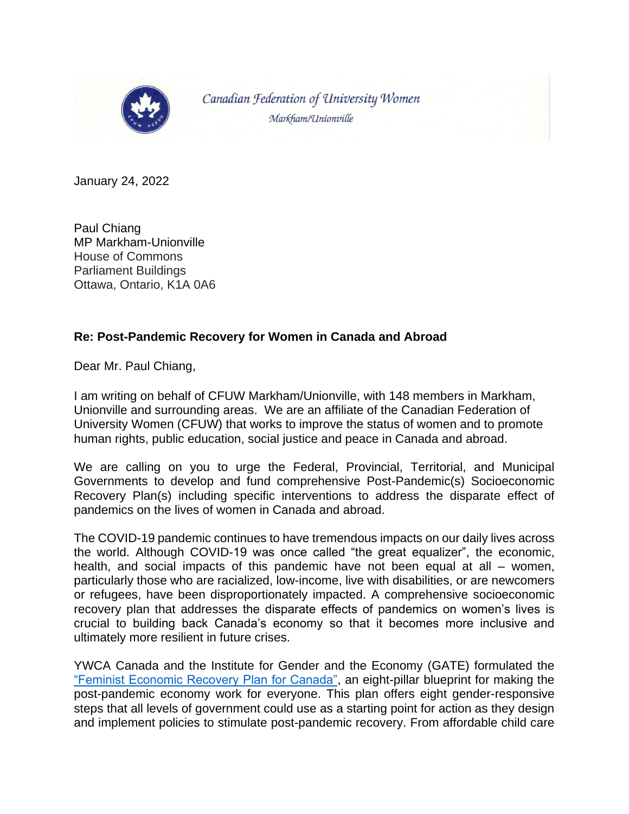

Canadian Federation of University Women Markham/Unionville

January 24, 2022

Paul Chiang MP Markham-Unionville House of Commons Parliament Buildings Ottawa, Ontario, K1A 0A6

## **Re: Post-Pandemic Recovery for Women in Canada and Abroad**

Dear Mr. Paul Chiang,

I am writing on behalf of CFUW Markham/Unionville, with 148 members in Markham, Unionville and surrounding areas. We are an affiliate of the Canadian Federation of University Women (CFUW) that works to improve the status of women and to promote human rights, public education, social justice and peace in Canada and abroad.

We are calling on you to urge the Federal, Provincial, Territorial, and Municipal Governments to develop and fund comprehensive Post-Pandemic(s) Socioeconomic Recovery Plan(s) including specific interventions to address the disparate effect of pandemics on the lives of women in Canada and abroad.

The COVID-19 pandemic continues to have tremendous impacts on our daily lives across the world. Although COVID-19 was once called "the great equalizer", the economic, health, and social impacts of this pandemic have not been equal at all – women, particularly those who are racialized, low-income, live with disabilities, or are newcomers or refugees, have been disproportionately impacted. A comprehensive socioeconomic recovery plan that addresses the disparate effects of pandemics on women's lives is crucial to building back Canada's economy so that it becomes more inclusive and ultimately more resilient in future crises.

YWCA Canada and the Institute for Gender and the Economy (GATE) formulated the ["Feminist Economic Recovery Plan for Canada",](https://static1.squarespace.com/static/5f0cd2090f50a31a91b37ff7/t/5f205a15b1b7191d12282bf5/1595955746613/Feminist+Economy+Recovery+Plan+for+Canada.pdf) an eight-pillar blueprint for making the post-pandemic economy work for everyone. This plan offers eight gender-responsive steps that all levels of government could use as a starting point for action as they design and implement policies to stimulate post-pandemic recovery. From affordable child care